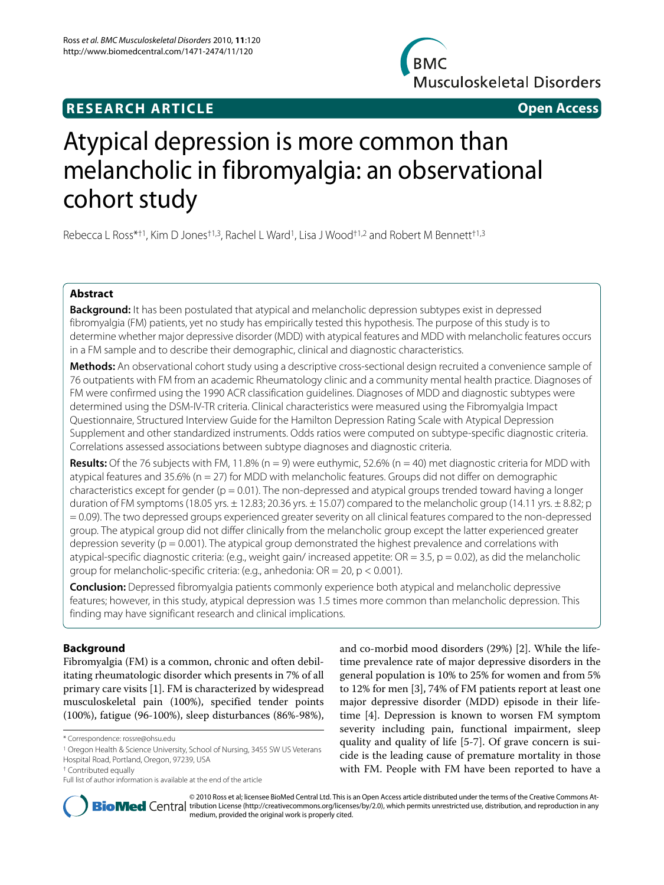## **RESEARCH ARTICLE Open Access**

**BMC Musculoskeletal Disorders** 

# Atypical depression is more common than melancholic in fibromyalgia: an observational cohort study

Rebecca L Ross\*<sup>+1</sup>, Kim D Jones<sup>+1,3</sup>, Rachel L Ward<sup>1</sup>, Lisa J Wood<sup>+1,2</sup> and Robert M Bennett<sup>+1,3</sup>

#### **Abstract**

**Background:** It has been postulated that atypical and melancholic depression subtypes exist in depressed fibromyalgia (FM) patients, yet no study has empirically tested this hypothesis. The purpose of this study is to determine whether major depressive disorder (MDD) with atypical features and MDD with melancholic features occurs in a FM sample and to describe their demographic, clinical and diagnostic characteristics.

**Methods:** An observational cohort study using a descriptive cross-sectional design recruited a convenience sample of 76 outpatients with FM from an academic Rheumatology clinic and a community mental health practice. Diagnoses of FM were confirmed using the 1990 ACR classification guidelines. Diagnoses of MDD and diagnostic subtypes were determined using the DSM-IV-TR criteria. Clinical characteristics were measured using the Fibromyalgia Impact Questionnaire, Structured Interview Guide for the Hamilton Depression Rating Scale with Atypical Depression Supplement and other standardized instruments. Odds ratios were computed on subtype-specific diagnostic criteria. Correlations assessed associations between subtype diagnoses and diagnostic criteria.

**Results:** Of the 76 subjects with FM, 11.8% (n = 9) were euthymic, 52.6% (n = 40) met diagnostic criteria for MDD with atypical features and 35.6% (n = 27) for MDD with melancholic features. Groups did not differ on demographic characteristics except for gender ( $p = 0.01$ ). The non-depressed and atypical groups trended toward having a longer duration of FM symptoms (18.05 yrs.  $\pm$  12.83; 20.36 yrs.  $\pm$  15.07) compared to the melancholic group (14.11 yrs.  $\pm$  8.82; p = 0.09). The two depressed groups experienced greater severity on all clinical features compared to the non-depressed group. The atypical group did not differ clinically from the melancholic group except the latter experienced greater depression severity ( $p = 0.001$ ). The atypical group demonstrated the highest prevalence and correlations with atypical-specific diagnostic criteria: (e.g., weight gain/increased appetite:  $OR = 3.5$ ,  $p = 0.02$ ), as did the melancholic group for melancholic-specific criteria: (e.g., anhedonia: OR = 20, p < 0.001).

**Conclusion:** Depressed fibromyalgia patients commonly experience both atypical and melancholic depressive features; however, in this study, atypical depression was 1.5 times more common than melancholic depression. This finding may have significant research and clinical implications.

#### **Background**

Fibromyalgia (FM) is a common, chronic and often debilitating rheumatologic disorder which presents in 7% of all primary care visits [\[1](#page-11-0)]. FM is characterized by widespread musculoskeletal pain (100%), specified tender points (100%), fatigue (96-100%), sleep disturbances (86%-98%),

and co-morbid mood disorders (29%) [[2\]](#page-11-1). While the lifetime prevalence rate of major depressive disorders in the general population is 10% to 25% for women and from 5% to 12% for men [[3\]](#page-11-2), 74% of FM patients report at least one major depressive disorder (MDD) episode in their lifetime [\[4](#page-11-3)]. Depression is known to worsen FM symptom severity including pain, functional impairment, sleep quality and quality of life [\[5](#page-11-4)[-7](#page-11-5)]. Of grave concern is suicide is the leading cause of premature mortality in those with FM. People with FM have been reported to have a



© 2010 Ross et al; licensee BioMed Central Ltd. This is an Open Access article distributed under the terms of the Creative Commons At-**Bio Med** Central tribution License (http://creativecommons.org/licenses/by/2.0), which permits unrestricted use, distribution, and reproduction in any medium, provided the original work is properly cited.

<sup>\*</sup> Correspondence: rossre@ohsu.edu

<sup>1</sup> Oregon Health & Science University, School of Nursing, 3455 SW US Veterans Hospital Road, Portland, Oregon, 97239, USA

<sup>†</sup> Contributed equally

Full list of author information is available at the end of the article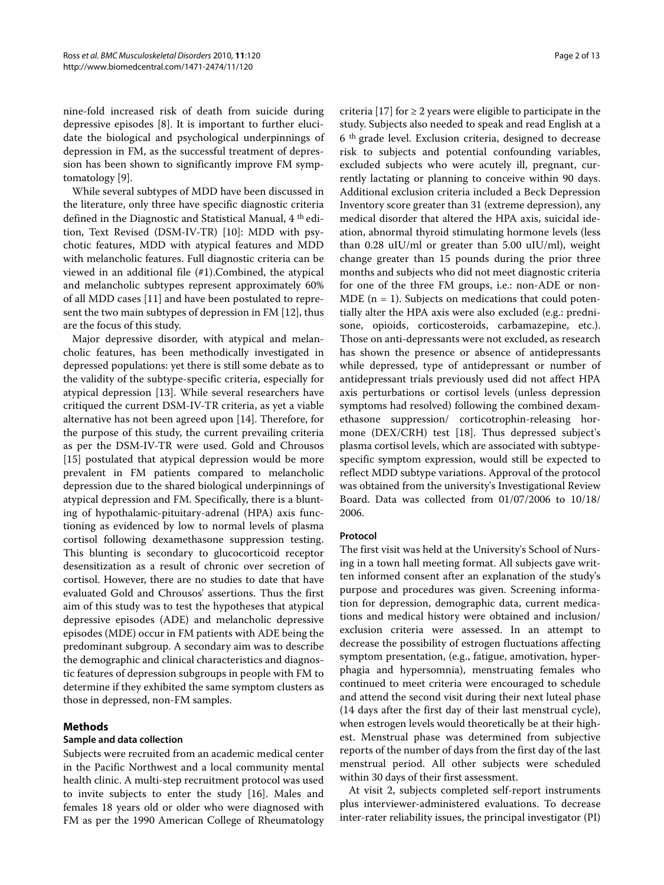nine-fold increased risk of death from suicide during depressive episodes [[8](#page-11-6)]. It is important to further elucidate the biological and psychological underpinnings of depression in FM, as the successful treatment of depression has been shown to significantly improve FM symptomatology [[9](#page-11-7)].

While several subtypes of MDD have been discussed in the literature, only three have specific diagnostic criteria defined in the Diagnostic and Statistical Manual, 4 th edition, Text Revised (DSM-IV-TR) [[10\]](#page-11-8): MDD with psychotic features, MDD with atypical features and MDD with melancholic features. Full diagnostic criteria can be viewed in an additional file (#[1\)](#page-10-0).Combined, the atypical and melancholic subtypes represent approximately 60% of all MDD cases [\[11](#page-11-9)] and have been postulated to represent the two main subtypes of depression in FM [\[12](#page-11-10)], thus are the focus of this study.

Major depressive disorder, with atypical and melancholic features, has been methodically investigated in depressed populations: yet there is still some debate as to the validity of the subtype-specific criteria, especially for atypical depression [[13\]](#page-11-11). While several researchers have critiqued the current DSM-IV-TR criteria, as yet a viable alternative has not been agreed upon [\[14](#page-11-12)]. Therefore, for the purpose of this study, the current prevailing criteria as per the DSM-IV-TR were used. Gold and Chrousos [[15\]](#page-11-13) postulated that atypical depression would be more prevalent in FM patients compared to melancholic depression due to the shared biological underpinnings of atypical depression and FM. Specifically, there is a blunting of hypothalamic-pituitary-adrenal (HPA) axis functioning as evidenced by low to normal levels of plasma cortisol following dexamethasone suppression testing. This blunting is secondary to glucocorticoid receptor desensitization as a result of chronic over secretion of cortisol. However, there are no studies to date that have evaluated Gold and Chrousos' assertions. Thus the first aim of this study was to test the hypotheses that atypical depressive episodes (ADE) and melancholic depressive episodes (MDE) occur in FM patients with ADE being the predominant subgroup. A secondary aim was to describe the demographic and clinical characteristics and diagnostic features of depression subgroups in people with FM to determine if they exhibited the same symptom clusters as those in depressed, non-FM samples.

#### **Methods**

#### **Sample and data collection**

Subjects were recruited from an academic medical center in the Pacific Northwest and a local community mental health clinic. A multi-step recruitment protocol was used to invite subjects to enter the study [\[16](#page-11-14)]. Males and females 18 years old or older who were diagnosed with FM as per the 1990 American College of Rheumatology

criteria [[17](#page-11-15)] for  $\geq$  2 years were eligible to participate in the study. Subjects also needed to speak and read English at a 6 th grade level. Exclusion criteria, designed to decrease risk to subjects and potential confounding variables, excluded subjects who were acutely ill, pregnant, currently lactating or planning to conceive within 90 days. Additional exclusion criteria included a Beck Depression Inventory score greater than 31 (extreme depression), any medical disorder that altered the HPA axis, suicidal ideation, abnormal thyroid stimulating hormone levels (less than 0.28 uIU/ml or greater than 5.00 uIU/ml), weight change greater than 15 pounds during the prior three months and subjects who did not meet diagnostic criteria for one of the three FM groups, i.e.: non-ADE or non-MDE ( $n = 1$ ). Subjects on medications that could potentially alter the HPA axis were also excluded (e.g.: prednisone, opioids, corticosteroids, carbamazepine, etc.). Those on anti-depressants were not excluded, as research has shown the presence or absence of antidepressants while depressed, type of antidepressant or number of antidepressant trials previously used did not affect HPA axis perturbations or cortisol levels (unless depression symptoms had resolved) following the combined dexamethasone suppression/ corticotrophin-releasing hormone (DEX/CRH) test [[18](#page-11-16)]. Thus depressed subject's plasma cortisol levels, which are associated with subtypespecific symptom expression, would still be expected to reflect MDD subtype variations. Approval of the protocol was obtained from the university's Investigational Review Board. Data was collected from 01/07/2006 to 10/18/ 2006.

#### **Protocol**

The first visit was held at the University's School of Nursing in a town hall meeting format. All subjects gave written informed consent after an explanation of the study's purpose and procedures was given. Screening information for depression, demographic data, current medications and medical history were obtained and inclusion/ exclusion criteria were assessed. In an attempt to decrease the possibility of estrogen fluctuations affecting symptom presentation, (e.g., fatigue, amotivation, hyperphagia and hypersomnia), menstruating females who continued to meet criteria were encouraged to schedule and attend the second visit during their next luteal phase (14 days after the first day of their last menstrual cycle), when estrogen levels would theoretically be at their highest. Menstrual phase was determined from subjective reports of the number of days from the first day of the last menstrual period. All other subjects were scheduled within 30 days of their first assessment.

At visit 2, subjects completed self-report instruments plus interviewer-administered evaluations. To decrease inter-rater reliability issues, the principal investigator (PI)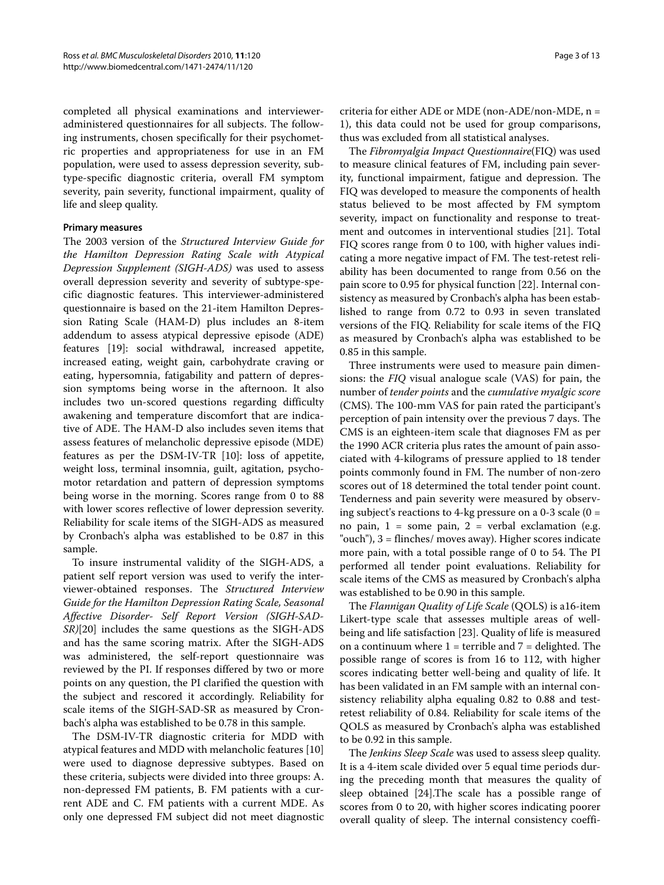completed all physical examinations and intervieweradministered questionnaires for all subjects. The following instruments, chosen specifically for their psychometric properties and appropriateness for use in an FM population, were used to assess depression severity, subtype-specific diagnostic criteria, overall FM symptom severity, pain severity, functional impairment, quality of life and sleep quality.

#### **Primary measures**

The 2003 version of the Structured Interview Guide for the Hamilton Depression Rating Scale with Atypical Depression Supplement (SIGH-ADS) was used to assess overall depression severity and severity of subtype-specific diagnostic features. This interviewer-administered questionnaire is based on the 21-item Hamilton Depression Rating Scale (HAM-D) plus includes an 8-item addendum to assess atypical depressive episode (ADE) features [[19\]](#page-11-17): social withdrawal, increased appetite, increased eating, weight gain, carbohydrate craving or eating, hypersomnia, fatigability and pattern of depression symptoms being worse in the afternoon. It also includes two un-scored questions regarding difficulty awakening and temperature discomfort that are indicative of ADE. The HAM-D also includes seven items that assess features of melancholic depressive episode (MDE) features as per the DSM-IV-TR [[10\]](#page-11-8): loss of appetite, weight loss, terminal insomnia, guilt, agitation, psychomotor retardation and pattern of depression symptoms being worse in the morning. Scores range from 0 to 88 with lower scores reflective of lower depression severity. Reliability for scale items of the SIGH-ADS as measured by Cronbach's alpha was established to be 0.87 in this sample.

To insure instrumental validity of the SIGH-ADS, a patient self report version was used to verify the interviewer-obtained responses. The Structured Interview Guide for the Hamilton Depression Rating Scale, Seasonal Affective Disorder- Self Report Version (SIGH-SAD-SR)[[20\]](#page-11-18) includes the same questions as the SIGH-ADS and has the same scoring matrix. After the SIGH-ADS was administered, the self-report questionnaire was reviewed by the PI. If responses differed by two or more points on any question, the PI clarified the question with the subject and rescored it accordingly. Reliability for scale items of the SIGH-SAD-SR as measured by Cronbach's alpha was established to be 0.78 in this sample.

The DSM-IV-TR diagnostic criteria for MDD with atypical features and MDD with melancholic features [[10](#page-11-8)] were used to diagnose depressive subtypes. Based on these criteria, subjects were divided into three groups: A. non-depressed FM patients, B. FM patients with a current ADE and C. FM patients with a current MDE. As only one depressed FM subject did not meet diagnostic criteria for either ADE or MDE (non-ADE/non-MDE, n = 1), this data could not be used for group comparisons, thus was excluded from all statistical analyses.

The Fibromyalgia Impact Questionnaire(FIQ) was used to measure clinical features of FM, including pain severity, functional impairment, fatigue and depression. The FIQ was developed to measure the components of health status believed to be most affected by FM symptom severity, impact on functionality and response to treatment and outcomes in interventional studies [[21\]](#page-11-19). Total FIQ scores range from 0 to 100, with higher values indicating a more negative impact of FM. The test-retest reliability has been documented to range from 0.56 on the pain score to 0.95 for physical function [[22\]](#page-11-20). Internal consistency as measured by Cronbach's alpha has been established to range from 0.72 to 0.93 in seven translated versions of the FIQ. Reliability for scale items of the FIQ as measured by Cronbach's alpha was established to be 0.85 in this sample.

Three instruments were used to measure pain dimensions: the FIQ visual analogue scale (VAS) for pain, the number of tender points and the cumulative myalgic score (CMS). The 100-mm VAS for pain rated the participant's perception of pain intensity over the previous 7 days. The CMS is an eighteen-item scale that diagnoses FM as per the 1990 ACR criteria plus rates the amount of pain associated with 4-kilograms of pressure applied to 18 tender points commonly found in FM. The number of non-zero scores out of 18 determined the total tender point count. Tenderness and pain severity were measured by observing subject's reactions to 4-kg pressure on a 0-3 scale  $(0 =$ no pain,  $1 =$  some pain,  $2 =$  verbal exclamation (e.g. "ouch"), 3 = flinches/ moves away). Higher scores indicate more pain, with a total possible range of 0 to 54. The PI performed all tender point evaluations. Reliability for scale items of the CMS as measured by Cronbach's alpha was established to be 0.90 in this sample.

The Flannigan Quality of Life Scale (QOLS) is a16-item Likert-type scale that assesses multiple areas of wellbeing and life satisfaction [[23\]](#page-11-21). Quality of life is measured on a continuum where  $1 =$  terrible and  $7 =$  delighted. The possible range of scores is from 16 to 112, with higher scores indicating better well-being and quality of life. It has been validated in an FM sample with an internal consistency reliability alpha equaling 0.82 to 0.88 and testretest reliability of 0.84. Reliability for scale items of the QOLS as measured by Cronbach's alpha was established to be 0.92 in this sample.

The Jenkins Sleep Scale was used to assess sleep quality. It is a 4-item scale divided over 5 equal time periods during the preceding month that measures the quality of sleep obtained [[24\]](#page-11-22).The scale has a possible range of scores from 0 to 20, with higher scores indicating poorer overall quality of sleep. The internal consistency coeffi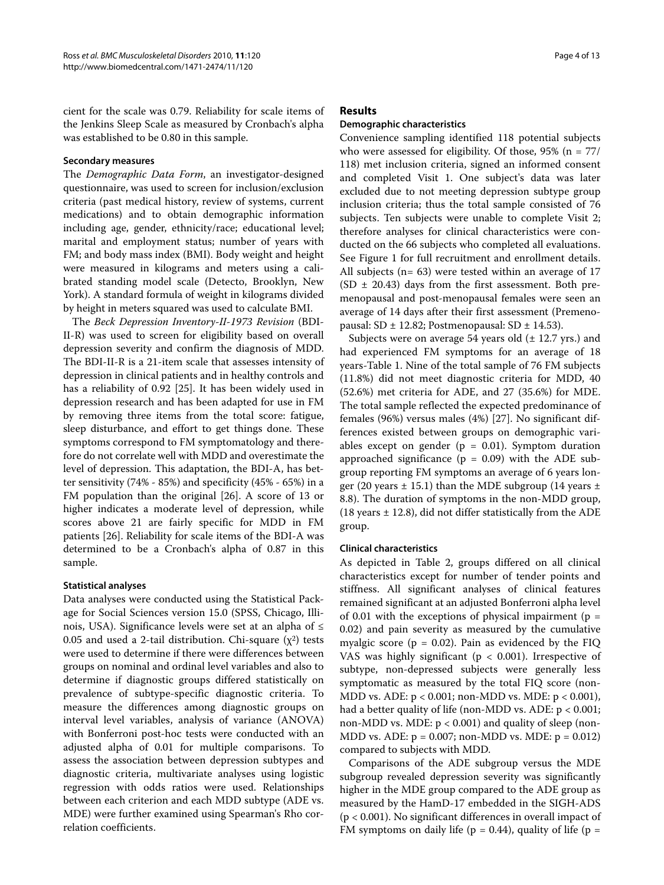cient for the scale was 0.79. Reliability for scale items of the Jenkins Sleep Scale as measured by Cronbach's alpha was established to be 0.80 in this sample.

#### **Secondary measures**

The Demographic Data Form, an investigator-designed questionnaire, was used to screen for inclusion/exclusion criteria (past medical history, review of systems, current medications) and to obtain demographic information including age, gender, ethnicity/race; educational level; marital and employment status; number of years with FM; and body mass index (BMI). Body weight and height were measured in kilograms and meters using a calibrated standing model scale (Detecto, Brooklyn, New York). A standard formula of weight in kilograms divided by height in meters squared was used to calculate BMI.

The Beck Depression Inventory-II-1973 Revision (BDI-II-R) was used to screen for eligibility based on overall depression severity and confirm the diagnosis of MDD. The BDI-II-R is a 21-item scale that assesses intensity of depression in clinical patients and in healthy controls and has a reliability of 0.92 [[25\]](#page-11-23). It has been widely used in depression research and has been adapted for use in FM by removing three items from the total score: fatigue, sleep disturbance, and effort to get things done. These symptoms correspond to FM symptomatology and therefore do not correlate well with MDD and overestimate the level of depression. This adaptation, the BDI-A, has better sensitivity (74% - 85%) and specificity (45% - 65%) in a FM population than the original [[26\]](#page-11-24). A score of 13 or higher indicates a moderate level of depression, while scores above 21 are fairly specific for MDD in FM patients [\[26](#page-11-24)]. Reliability for scale items of the BDI-A was determined to be a Cronbach's alpha of 0.87 in this sample.

#### **Statistical analyses**

Data analyses were conducted using the Statistical Package for Social Sciences version 15.0 (SPSS, Chicago, Illinois, USA). Significance levels were set at an alpha of ≤ 0.05 and used a 2-tail distribution. Chi-square  $(\chi^2)$  tests were used to determine if there were differences between groups on nominal and ordinal level variables and also to determine if diagnostic groups differed statistically on prevalence of subtype-specific diagnostic criteria. To measure the differences among diagnostic groups on interval level variables, analysis of variance (ANOVA) with Bonferroni post-hoc tests were conducted with an adjusted alpha of 0.01 for multiple comparisons. To assess the association between depression subtypes and diagnostic criteria, multivariate analyses using logistic regression with odds ratios were used. Relationships between each criterion and each MDD subtype (ADE vs. MDE) were further examined using Spearman's Rho correlation coefficients.

#### **Results**

#### **Demographic characteristics**

Convenience sampling identified 118 potential subjects who were assessed for eligibility. Of those, 95% (n = 77/ 118) met inclusion criteria, signed an informed consent and completed Visit 1. One subject's data was later excluded due to not meeting depression subtype group inclusion criteria; thus the total sample consisted of 76 subjects. Ten subjects were unable to complete Visit 2; therefore analyses for clinical characteristics were conducted on the 66 subjects who completed all evaluations. See Figure [1](#page-4-0) for full recruitment and enrollment details. All subjects (n= 63) were tested within an average of 17  $(SD \pm 20.43)$  days from the first assessment. Both premenopausal and post-menopausal females were seen an average of 14 days after their first assessment (Premenopausal: SD  $\pm$  12.82; Postmenopausal: SD  $\pm$  14.53).

Subjects were on average 54 years old  $(\pm 12.7 \text{ yrs.})$  and had experienced FM symptoms for an average of 18 years-Table 1. Nine of the total sample of 76 FM subjects (11.8%) did not meet diagnostic criteria for MDD, 40 (52.6%) met criteria for ADE, and 27 (35.6%) for MDE. The total sample reflected the expected predominance of females (96%) versus males (4%) [\[27](#page-11-25)]. No significant differences existed between groups on demographic variables except on gender ( $p = 0.01$ ). Symptom duration approached significance ( $p = 0.09$ ) with the ADE subgroup reporting FM symptoms an average of 6 years longer (20 years  $\pm$  15.1) than the MDE subgroup (14 years  $\pm$ 8.8). The duration of symptoms in the non-MDD group, (18 years  $\pm$  12.8), did not differ statistically from the ADE group.

#### **Clinical characteristics**

As depicted in Table [2](#page-6-0), groups differed on all clinical characteristics except for number of tender points and stiffness. All significant analyses of clinical features remained significant at an adjusted Bonferroni alpha level of 0.01 with the exceptions of physical impairment ( $p =$ 0.02) and pain severity as measured by the cumulative myalgic score ( $p = 0.02$ ). Pain as evidenced by the FIQ VAS was highly significant ( $p < 0.001$ ). Irrespective of subtype, non-depressed subjects were generally less symptomatic as measured by the total FIQ score (non-MDD vs. ADE: p < 0.001; non-MDD vs. MDE: p < 0.001), had a better quality of life (non-MDD vs. ADE: p < 0.001; non-MDD vs. MDE: p < 0.001) and quality of sleep (non-MDD vs. ADE:  $p = 0.007$ ; non-MDD vs. MDE:  $p = 0.012$ ) compared to subjects with MDD.

Comparisons of the ADE subgroup versus the MDE subgroup revealed depression severity was significantly higher in the MDE group compared to the ADE group as measured by the HamD-17 embedded in the SIGH-ADS (p < 0.001). No significant differences in overall impact of FM symptoms on daily life ( $p = 0.44$ ), quality of life ( $p =$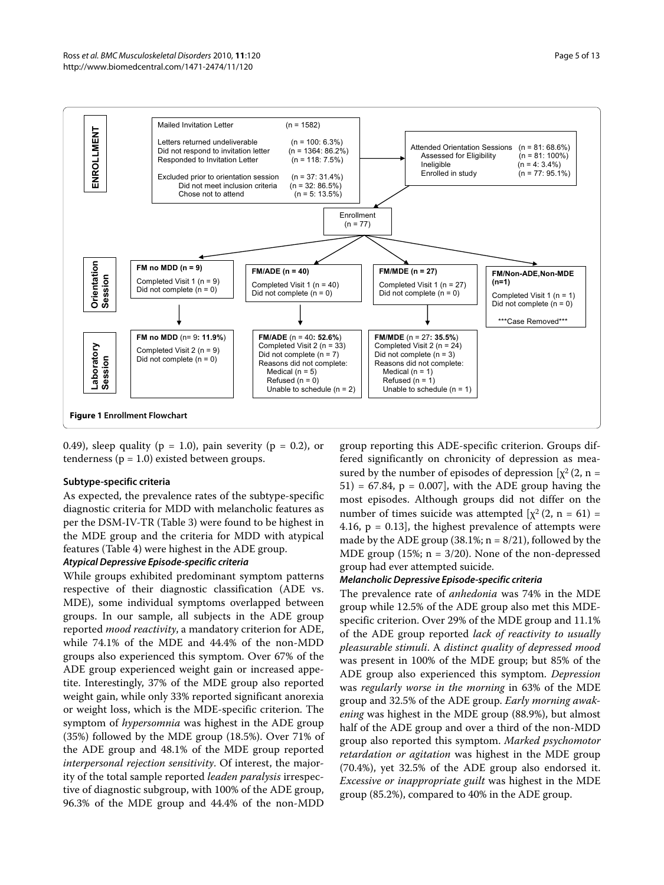#### Ross et al. BMC Musculoskeletal Disorders 2010, **11**:120 http://www.biomedcentral.com/1471-2474/11/120

<span id="page-4-0"></span>

0.49), sleep quality ( $p = 1.0$ ), pain severity ( $p = 0.2$ ), or tenderness ( $p = 1.0$ ) existed between groups.

#### **Subtype-specific criteria**

As expected, the prevalence rates of the subtype-specific diagnostic criteria for MDD with melancholic features as per the DSM-IV-TR (Table 3) were found to be highest in the MDE group and the criteria for MDD with atypical features (Table 4) were highest in the ADE group.

#### *Atypical Depressive Episode-specific criteria*

While groups exhibited predominant symptom patterns respective of their diagnostic classification (ADE vs. MDE), some individual symptoms overlapped between groups. In our sample, all subjects in the ADE group reported mood reactivity, a mandatory criterion for ADE, while 74.1% of the MDE and 44.4% of the non-MDD groups also experienced this symptom. Over 67% of the ADE group experienced weight gain or increased appetite. Interestingly, 37% of the MDE group also reported weight gain, while only 33% reported significant anorexia or weight loss, which is the MDE-specific criterion. The symptom of *hypersomnia* was highest in the ADE group (35%) followed by the MDE group (18.5%). Over 71% of the ADE group and 48.1% of the MDE group reported interpersonal rejection sensitivity. Of interest, the majority of the total sample reported leaden paralysis irrespective of diagnostic subgroup, with 100% of the ADE group, 96.3% of the MDE group and 44.4% of the non-MDD

group reporting this ADE-specific criterion. Groups differed significantly on chronicity of depression as measured by the number of episodes of depression  $[\chi^2(2, n =$  $51$ ) = 67.84, p = 0.007], with the ADE group having the most episodes. Although groups did not differ on the number of times suicide was attempted  $[\chi^2 (2, n = 61) =$ 4.16,  $p = 0.13$ ], the highest prevalence of attempts were made by the ADE group (38.1%;  $n = 8/21$ ), followed by the MDE group  $(15\%; n = 3/20)$ . None of the non-depressed group had ever attempted suicide.

#### *Melancholic Depressive Episode-specific criteria*

The prevalence rate of *anhedonia* was 74% in the MDE group while 12.5% of the ADE group also met this MDEspecific criterion. Over 29% of the MDE group and 11.1% of the ADE group reported lack of reactivity to usually pleasurable stimuli. A distinct quality of depressed mood was present in 100% of the MDE group; but 85% of the ADE group also experienced this symptom. Depression was regularly worse in the morning in 63% of the MDE group and 32.5% of the ADE group. Early morning awakening was highest in the MDE group (88.9%), but almost half of the ADE group and over a third of the non-MDD group also reported this symptom. Marked psychomotor retardation or agitation was highest in the MDE group (70.4%), yet 32.5% of the ADE group also endorsed it. Excessive or inappropriate guilt was highest in the MDE group (85.2%), compared to 40% in the ADE group.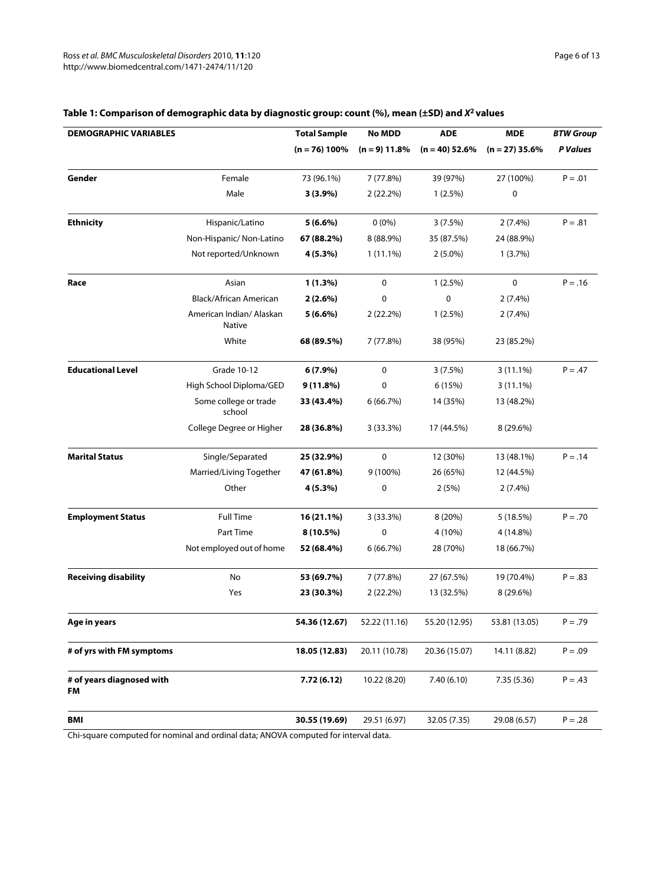| <b>DEMOGRAPHIC VARIABLES</b>    |                                           | <b>Total Sample</b> | <b>No MDD</b>   | <b>ADE</b>       | <b>MDE</b>       | <b>BTW Group</b> |
|---------------------------------|-------------------------------------------|---------------------|-----------------|------------------|------------------|------------------|
|                                 |                                           | $(n = 76)$ 100%     | $(n = 9)$ 11.8% | $(n = 40)$ 52.6% | $(n = 27)$ 35.6% | P Values         |
| Gender                          | Female                                    | 73 (96.1%)          | 7 (77.8%)       | 39 (97%)         | 27 (100%)        | $P = .01$        |
|                                 | Male                                      | $3(3.9\%)$          | $2(22.2\%)$     | $1(2.5\%)$       | 0                |                  |
| <b>Ethnicity</b>                | Hispanic/Latino                           | $5(6.6\%)$          | $0(0\%)$        | 3(7.5%)          | $2(7.4\%)$       | $P = .81$        |
|                                 | Non-Hispanic/Non-Latino                   | 67 (88.2%)          | 8 (88.9%)       | 35 (87.5%)       | 24 (88.9%)       |                  |
|                                 | Not reported/Unknown                      | 4 (5.3%)            | $1(11.1\%)$     | $2(5.0\%)$       | 1(3.7%)          |                  |
| Race                            | Asian                                     | 1(1.3%)             | 0               | $1(2.5\%)$       | 0                | $P = .16$        |
|                                 | Black/African American                    | $2(2.6\%)$          | 0               | $\mathbf 0$      | $2(7.4\%)$       |                  |
|                                 | American Indian/ Alaskan<br><b>Native</b> | $5(6.6\%)$          | 2(22.2%)        | $1(2.5\%)$       | $2(7.4\%)$       |                  |
|                                 | White                                     | 68 (89.5%)          | 7 (77.8%)       | 38 (95%)         | 23 (85.2%)       |                  |
| <b>Educational Level</b>        | Grade 10-12                               | $6(7.9\%)$          | $\mathbf 0$     | 3(7.5%)          | $3(11.1\%)$      | $P = .47$        |
|                                 | High School Diploma/GED                   | 9(11.8%)            | 0               | 6(15%)           | $3(11.1\%)$      |                  |
|                                 | Some college or trade<br>school           | 33 (43.4%)          | 6(66.7%)        | 14 (35%)         | 13 (48.2%)       |                  |
|                                 | College Degree or Higher                  | 28 (36.8%)          | 3(33.3%)        | 17 (44.5%)       | 8 (29.6%)        |                  |
| <b>Marital Status</b>           | Single/Separated                          | 25 (32.9%)          | 0               | 12 (30%)         | 13 (48.1%)       | $P = .14$        |
|                                 | Married/Living Together                   | 47 (61.8%)          | 9 (100%)        | 26 (65%)         | 12 (44.5%)       |                  |
|                                 | Other                                     | 4 (5.3%)            | 0               | 2(5%)            | $2(7.4\%)$       |                  |
| <b>Employment Status</b>        | <b>Full Time</b>                          | 16 (21.1%)          | 3(33.3%)        | 8(20%)           | 5(18.5%)         | $P = .70$        |
|                                 | Part Time                                 | $8(10.5\%)$         | 0               | 4 (10%)          | 4 (14.8%)        |                  |
|                                 | Not employed out of home                  | 52 (68.4%)          | 6(66.7%)        | 28 (70%)         | 18 (66.7%)       |                  |
| <b>Receiving disability</b>     | No                                        | 53 (69.7%)          | 7 (77.8%)       | 27 (67.5%)       | 19 (70.4%)       | $P = .83$        |
|                                 | Yes                                       | 23 (30.3%)          | 2(22.2%)        | 13 (32.5%)       | 8 (29.6%)        |                  |
| Age in years                    |                                           | 54.36 (12.67)       | 52.22 (11.16)   | 55.20 (12.95)    | 53.81 (13.05)    | $P = .79$        |
| # of yrs with FM symptoms       |                                           | 18.05 (12.83)       | 20.11 (10.78)   | 20.36 (15.07)    | 14.11 (8.82)     | $P = .09$        |
| # of years diagnosed with<br>FM |                                           | 7.72(6.12)          | 10.22 (8.20)    | 7.40(6.10)       | 7.35(5.36)       | $P = .43$        |
| <b>BMI</b>                      |                                           | 30.55 (19.69)       | 29.51 (6.97)    | 32.05 (7.35)     | 29.08 (6.57)     | $P = .28$        |

### **Table 1: Comparison of demographic data by diagnostic group: count (%), mean (±SD) and** *X***2 values**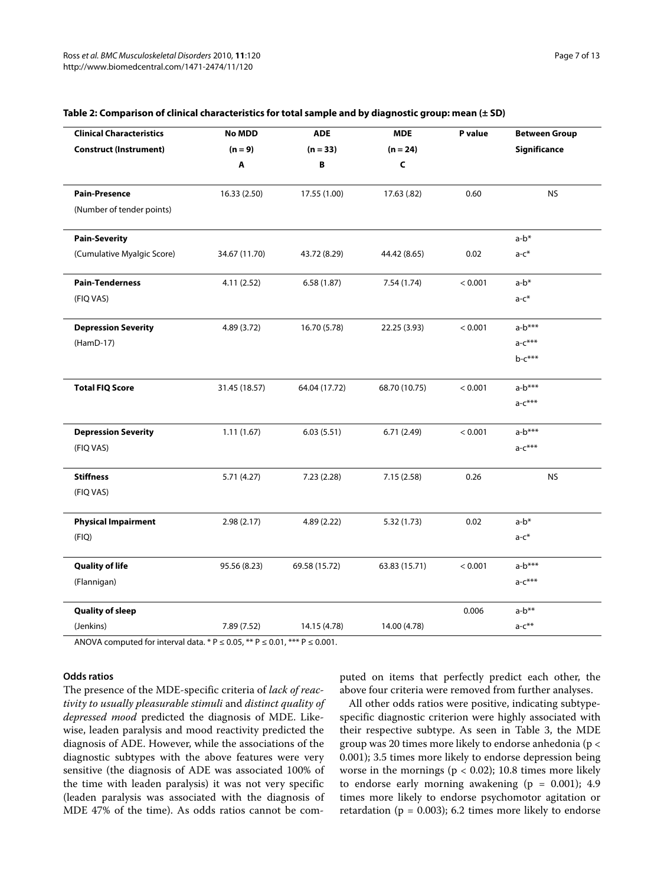| <b>Clinical Characteristics</b> | <b>No MDD</b> | <b>ADE</b>    | <b>MDE</b>    | P value | <b>Between Group</b> |
|---------------------------------|---------------|---------------|---------------|---------|----------------------|
| <b>Construct (Instrument)</b>   | $(n = 9)$     | $(n = 33)$    | $(n = 24)$    |         | Significance         |
|                                 | Α             | B             | $\mathsf{C}$  |         |                      |
| <b>Pain-Presence</b>            | 16.33 (2.50)  | 17.55 (1.00)  | 17.63 (.82)   | 0.60    | <b>NS</b>            |
| (Number of tender points)       |               |               |               |         |                      |
| <b>Pain-Severity</b>            |               |               |               |         | a-b*                 |
| (Cumulative Myalgic Score)      | 34.67 (11.70) | 43.72 (8.29)  | 44.42 (8.65)  | 0.02    | $a-c^*$              |
| <b>Pain-Tenderness</b>          | 4.11(2.52)    | 6.58(1.87)    | 7.54(1.74)    | < 0.001 | $a-b^*$              |
| (FIQ VAS)                       |               |               |               |         | $a-c^*$              |
| <b>Depression Severity</b>      | 4.89 (3.72)   | 16.70 (5.78)  | 22.25 (3.93)  | < 0.001 | $a-b***$             |
| (HamD-17)                       |               |               |               |         | $a-c***$             |
|                                 |               |               |               |         | $b-c***$             |
| <b>Total FIQ Score</b>          | 31.45 (18.57) | 64.04 (17.72) | 68.70 (10.75) | < 0.001 | $a-b***$             |
|                                 |               |               |               |         | $a-c***$             |
| <b>Depression Severity</b>      | 1.11(1.67)    | 6.03(5.51)    | 6.71(2.49)    | < 0.001 | $a-b***$             |
| (FIQ VAS)                       |               |               |               |         | $a-c***$             |
| <b>Stiffness</b>                | 5.71 (4.27)   | 7.23 (2.28)   | 7.15(2.58)    | 0.26    | <b>NS</b>            |
| (FIQ VAS)                       |               |               |               |         |                      |
| <b>Physical Impairment</b>      | 2.98(2.17)    | 4.89(2.22)    | 5.32(1.73)    | 0.02    | $a-b*$               |
| (FIQ)                           |               |               |               |         | $a-c^*$              |
| <b>Quality of life</b>          | 95.56 (8.23)  | 69.58 (15.72) | 63.83 (15.71) | < 0.001 | $a-b***$             |
| (Flannigan)                     |               |               |               |         | $a-c***$             |
| <b>Quality of sleep</b>         |               |               |               | 0.006   | $a-b**$              |
| (Jenkins)                       | 7.89 (7.52)   | 14.15 (4.78)  | 14.00 (4.78)  |         | $a-c**$              |

#### <span id="page-6-0"></span>**Table 2: Comparison of clinical characteristics for total sample and by diagnostic group: mean (± SD)**

ANOVA computed for interval data. \*  $P \le 0.05$ , \*\*  $P \le 0.01$ , \*\*\*  $P \le 0.001$ .

#### **Odds ratios**

The presence of the MDE-specific criteria of lack of reactivity to usually pleasurable stimuli and distinct quality of depressed mood predicted the diagnosis of MDE. Likewise, leaden paralysis and mood reactivity predicted the diagnosis of ADE. However, while the associations of the diagnostic subtypes with the above features were very sensitive (the diagnosis of ADE was associated 100% of the time with leaden paralysis) it was not very specific (leaden paralysis was associated with the diagnosis of MDE 47% of the time). As odds ratios cannot be computed on items that perfectly predict each other, the above four criteria were removed from further analyses.

All other odds ratios were positive, indicating subtypespecific diagnostic criterion were highly associated with their respective subtype. As seen in Table 3, the MDE group was 20 times more likely to endorse anhedonia (p < 0.001); 3.5 times more likely to endorse depression being worse in the mornings ( $p < 0.02$ ); 10.8 times more likely to endorse early morning awakening  $(p = 0.001)$ ; 4.9 times more likely to endorse psychomotor agitation or retardation ( $p = 0.003$ ); 6.2 times more likely to endorse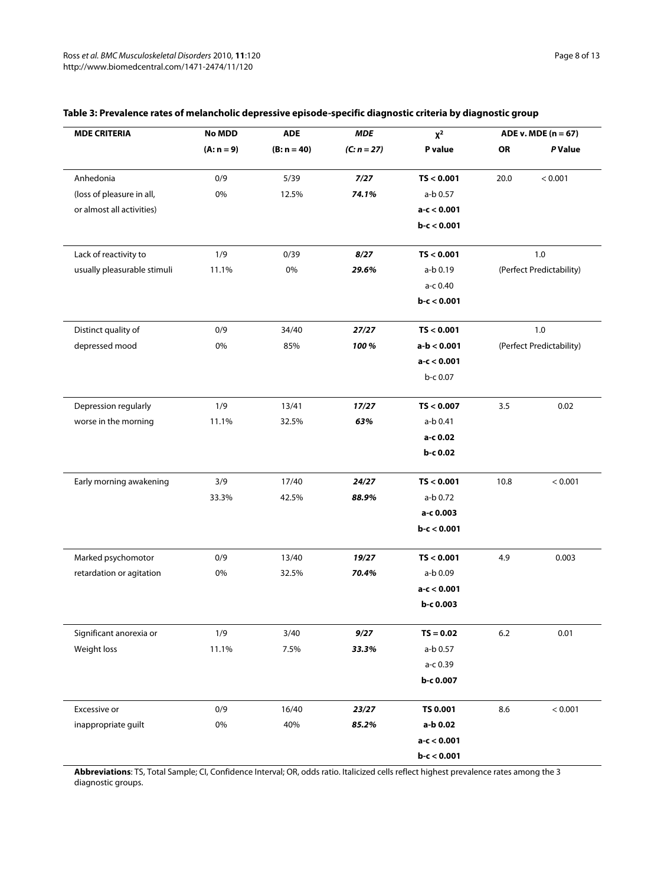| <b>MDE CRITERIA</b>         | <b>No MDD</b> | <b>ADE</b>    | <b>MDE</b>    | $\pmb{\chi^2}$ | $ADE v. MDE (n = 67)$ |                          |
|-----------------------------|---------------|---------------|---------------|----------------|-----------------------|--------------------------|
|                             | $(A: n = 9)$  | $(B: n = 40)$ | $(C: n = 27)$ | P value        | OR                    | P Value                  |
| Anhedonia                   | 0/9           | 5/39          | 7/27          | TS < 0.001     | 20.0                  | < 0.001                  |
| (loss of pleasure in all,   | 0%            | 12.5%         | 74.1%         | a-b 0.57       |                       |                          |
| or almost all activities)   |               |               |               | $a-c < 0.001$  |                       |                          |
|                             |               |               |               | $b-c < 0.001$  |                       |                          |
| Lack of reactivity to       | 1/9           | 0/39          | 8/27          | TS < 0.001     |                       | 1.0                      |
| usually pleasurable stimuli | 11.1%         | 0%            | 29.6%         | a-b 0.19       |                       | (Perfect Predictability) |
|                             |               |               |               | a-c 0.40       |                       |                          |
|                             |               |               |               | $b-c < 0.001$  |                       |                          |
| Distinct quality of         | 0/9           | 34/40         | 27/27         | TS < 0.001     | 1.0                   |                          |
| depressed mood              | 0%            | 85%           | 100%          | $a-b < 0.001$  |                       | (Perfect Predictability) |
|                             |               |               |               | $a-c < 0.001$  |                       |                          |
|                             |               |               |               | b-c 0.07       |                       |                          |
| Depression regularly        | 1/9           | 13/41         | 17/27         | TS < 0.007     | 3.5                   | 0.02                     |
| worse in the morning        | 11.1%         | 32.5%         | 63%           | a-b 0.41       |                       |                          |
|                             |               |               |               | a-c 0.02       |                       |                          |
|                             |               |               |               | b-c 0.02       |                       |                          |
| Early morning awakening     | 3/9           | 17/40         | 24/27         | TS < 0.001     | 10.8                  | < 0.001                  |
|                             | 33.3%         | 42.5%         | 88.9%         | a-b 0.72       |                       |                          |
|                             |               |               |               | a-c 0.003      |                       |                          |
|                             |               |               |               | $b-c < 0.001$  |                       |                          |
| Marked psychomotor          | 0/9           | 13/40         | 19/27         | TS < 0.001     | 4.9                   | 0.003                    |
| retardation or agitation    | 0%            | 32.5%         | 70.4%         | a-b 0.09       |                       |                          |
|                             |               |               |               | $a-c < 0.001$  |                       |                          |
|                             |               |               |               | b-c 0.003      |                       |                          |
| Significant anorexia or     | 1/9           | 3/40          | 9/27          | $TS = 0.02$    | $6.2\,$               | 0.01                     |
| Weight loss                 | 11.1%         | 7.5%          | 33.3%         | a-b 0.57       |                       |                          |
|                             |               |               |               | a-c 0.39       |                       |                          |
|                             |               |               |               | b-c 0.007      |                       |                          |
| Excessive or                | 0/9           | 16/40         | 23/27         | TS 0.001       | 8.6                   | < 0.001                  |
| inappropriate guilt         | $0\%$         | 40%           | 85.2%         | a-b 0.02       |                       |                          |
|                             |               |               |               | $a-c < 0.001$  |                       |                          |
|                             |               |               |               | $b-c < 0.001$  |                       |                          |

#### **Table 3: Prevalence rates of melancholic depressive episode-specific diagnostic criteria by diagnostic group**

**Abbreviations**: TS, Total Sample; CI, Confidence Interval; OR, odds ratio. Italicized cells reflect highest prevalence rates among the 3 diagnostic groups.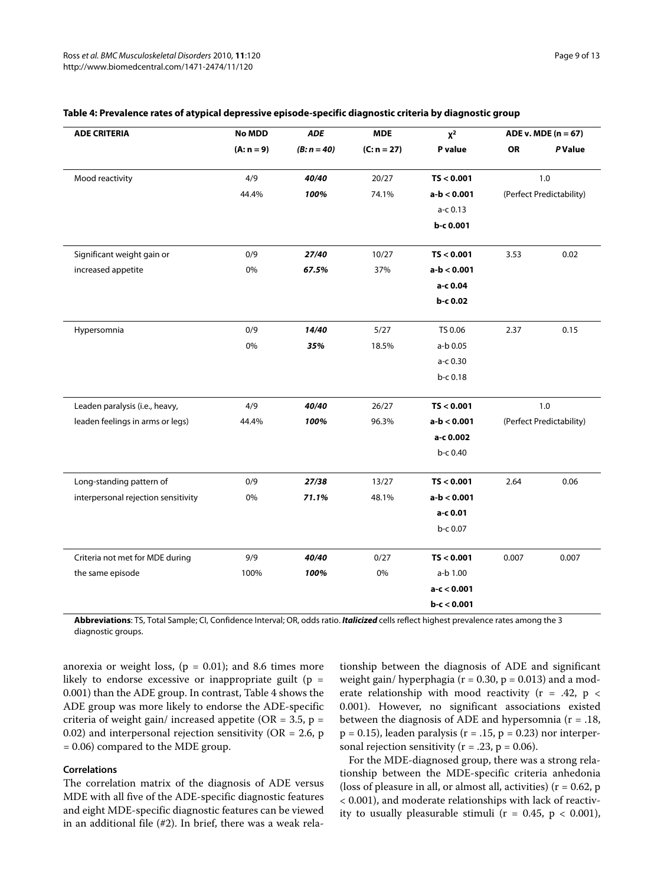| <b>ADE CRITERIA</b>                 | <b>No MDD</b> | <b>MDE</b><br><b>ADE</b> |               | $X^2$         | ADE v. MDE $(n = 67)$ |                          |
|-------------------------------------|---------------|--------------------------|---------------|---------------|-----------------------|--------------------------|
|                                     | $(A: n = 9)$  | $(B: n = 40)$            | $(C: n = 27)$ | P value       | <b>OR</b>             | P Value                  |
| Mood reactivity                     | 4/9           | 40/40                    | 20/27         | TS < 0.001    |                       | 1.0                      |
|                                     | 44.4%         | 100%                     | 74.1%         | $a-b < 0.001$ |                       | (Perfect Predictability) |
|                                     |               |                          |               | a-c 0.13      |                       |                          |
|                                     |               |                          |               | b-c 0.001     |                       |                          |
| Significant weight gain or          | 0/9           | 27/40                    | 10/27         | TS < 0.001    | 3.53                  | 0.02                     |
| increased appetite                  | 0%            | 67.5%                    | 37%           | $a-b < 0.001$ |                       |                          |
|                                     |               |                          |               | a-c 0.04      |                       |                          |
|                                     |               |                          |               | b-c 0.02      |                       |                          |
| Hypersomnia                         | 0/9           | 14/40                    | 5/27          | TS 0.06       | 2.37                  | 0.15                     |
|                                     | 0%            | 35%                      | 18.5%         | a-b 0.05      |                       |                          |
|                                     |               |                          |               | a-c 0.30      |                       |                          |
|                                     |               |                          |               | b-c 0.18      |                       |                          |
| Leaden paralysis (i.e., heavy,      | 4/9           | 40/40                    | 26/27         | TS < 0.001    |                       | 1.0                      |
| leaden feelings in arms or legs)    | 44.4%         | 100%                     | 96.3%         | $a-b < 0.001$ |                       | (Perfect Predictability) |
|                                     |               |                          |               | a-c 0.002     |                       |                          |
|                                     |               |                          |               | b-c 0.40      |                       |                          |
| Long-standing pattern of            | 0/9           | 27/38                    | 13/27         | TS < 0.001    | 2.64                  | 0.06                     |
| interpersonal rejection sensitivity | 0%            | 71.1%                    | 48.1%         | $a-b < 0.001$ |                       |                          |
|                                     |               |                          |               | a-c 0.01      |                       |                          |
|                                     |               |                          |               | b-c 0.07      |                       |                          |
| Criteria not met for MDE during     | 9/9           | 40/40                    | 0/27          | TS < 0.001    | 0.007                 | 0.007                    |
| the same episode                    | 100%          | 100%                     | 0%            | a-b 1.00      |                       |                          |
|                                     |               |                          |               | $a-c < 0.001$ |                       |                          |
|                                     |               |                          |               | $b-c < 0.001$ |                       |                          |

#### **Table 4: Prevalence rates of atypical depressive episode-specific diagnostic criteria by diagnostic group**

**Abbreviations**: TS, Total Sample; CI, Confidence Interval; OR, odds ratio. *Italicized* cells reflect highest prevalence rates among the 3 diagnostic groups.

anorexia or weight loss,  $(p = 0.01)$ ; and 8.6 times more likely to endorse excessive or inappropriate guilt ( $p =$ 0.001) than the ADE group. In contrast, Table 4 shows the ADE group was more likely to endorse the ADE-specific criteria of weight gain/ increased appetite (OR = 3.5, p = 0.02) and interpersonal rejection sensitivity ( $OR = 2.6$ , p = 0.06) compared to the MDE group.

#### **Correlations**

The correlation matrix of the diagnosis of ADE versus MDE with all five of the ADE-specific diagnostic features and eight MDE-specific diagnostic features can be viewed in an additional file (#[2](#page-10-1)). In brief, there was a weak rela-

tionship between the diagnosis of ADE and significant weight gain/ hyperphagia ( $r = 0.30$ ,  $p = 0.013$ ) and a moderate relationship with mood reactivity ( $r = .42$ ,  $p <$ 0.001). However, no significant associations existed between the diagnosis of ADE and hypersomnia (r = .18,  $p = 0.15$ ), leaden paralysis ( $r = .15$ ,  $p = 0.23$ ) nor interpersonal rejection sensitivity ( $r = .23$ ,  $p = 0.06$ ).

For the MDE-diagnosed group, there was a strong relationship between the MDE-specific criteria anhedonia (loss of pleasure in all, or almost all, activities) ( $r = 0.62$ , p < 0.001), and moderate relationships with lack of reactivity to usually pleasurable stimuli ( $r = 0.45$ ,  $p < 0.001$ ),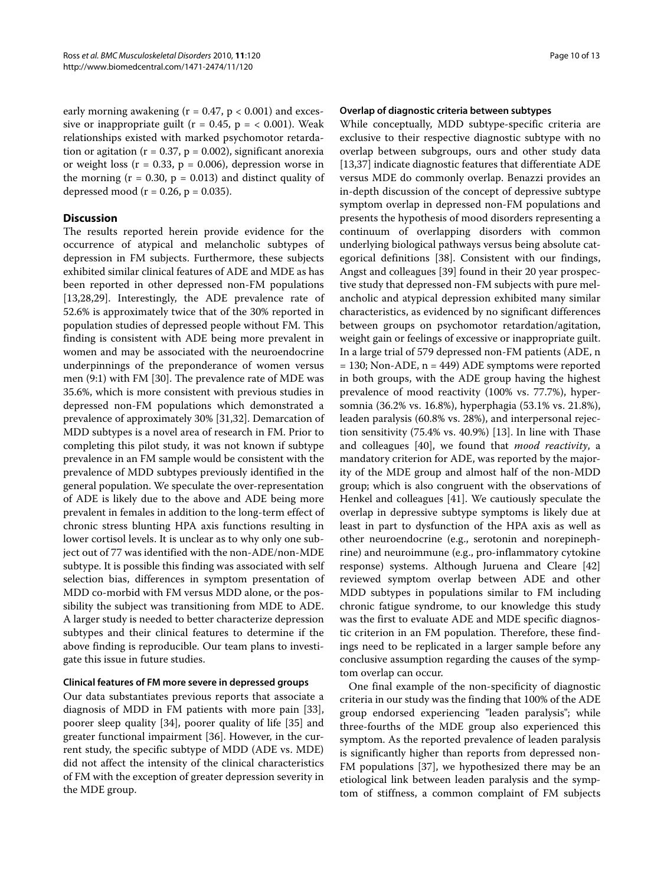early morning awakening ( $r = 0.47$ ,  $p < 0.001$ ) and excessive or inappropriate guilt ( $r = 0.45$ ,  $p = < 0.001$ ). Weak relationships existed with marked psychomotor retardation or agitation ( $r = 0.37$ ,  $p = 0.002$ ), significant anorexia or weight loss  $(r = 0.33, p = 0.006)$ , depression worse in the morning  $(r = 0.30, p = 0.013)$  and distinct quality of depressed mood ( $r = 0.26$ ,  $p = 0.035$ ).

#### **Discussion**

The results reported herein provide evidence for the occurrence of atypical and melancholic subtypes of depression in FM subjects. Furthermore, these subjects exhibited similar clinical features of ADE and MDE as has been reported in other depressed non-FM populations [[13,](#page-11-11)[28,](#page-11-26)[29\]](#page-11-27). Interestingly, the ADE prevalence rate of 52.6% is approximately twice that of the 30% reported in population studies of depressed people without FM. This finding is consistent with ADE being more prevalent in women and may be associated with the neuroendocrine underpinnings of the preponderance of women versus men (9:1) with FM [[30\]](#page-11-28). The prevalence rate of MDE was 35.6%, which is more consistent with previous studies in depressed non-FM populations which demonstrated a prevalence of approximately 30% [[31,](#page-11-29)[32\]](#page-11-30). Demarcation of MDD subtypes is a novel area of research in FM. Prior to completing this pilot study, it was not known if subtype prevalence in an FM sample would be consistent with the prevalence of MDD subtypes previously identified in the general population. We speculate the over-representation of ADE is likely due to the above and ADE being more prevalent in females in addition to the long-term effect of chronic stress blunting HPA axis functions resulting in lower cortisol levels. It is unclear as to why only one subject out of 77 was identified with the non-ADE/non-MDE subtype. It is possible this finding was associated with self selection bias, differences in symptom presentation of MDD co-morbid with FM versus MDD alone, or the possibility the subject was transitioning from MDE to ADE. A larger study is needed to better characterize depression subtypes and their clinical features to determine if the above finding is reproducible. Our team plans to investigate this issue in future studies.

#### **Clinical features of FM more severe in depressed groups**

Our data substantiates previous reports that associate a diagnosis of MDD in FM patients with more pain [\[33](#page-11-31)], poorer sleep quality [[34](#page-11-32)], poorer quality of life [[35\]](#page-12-0) and greater functional impairment [\[36](#page-12-1)]. However, in the current study, the specific subtype of MDD (ADE vs. MDE) did not affect the intensity of the clinical characteristics of FM with the exception of greater depression severity in the MDE group.

#### **Overlap of diagnostic criteria between subtypes**

While conceptually, MDD subtype-specific criteria are exclusive to their respective diagnostic subtype with no overlap between subgroups, ours and other study data [[13,](#page-11-11)[37\]](#page-12-2) indicate diagnostic features that differentiate ADE versus MDE do commonly overlap. Benazzi provides an in-depth discussion of the concept of depressive subtype symptom overlap in depressed non-FM populations and presents the hypothesis of mood disorders representing a continuum of overlapping disorders with common underlying biological pathways versus being absolute categorical definitions [\[38](#page-12-3)]. Consistent with our findings, Angst and colleagues [[39](#page-12-4)] found in their 20 year prospective study that depressed non-FM subjects with pure melancholic and atypical depression exhibited many similar characteristics, as evidenced by no significant differences between groups on psychomotor retardation/agitation, weight gain or feelings of excessive or inappropriate guilt. In a large trial of 579 depressed non-FM patients (ADE, n  $= 130$ ; Non-ADE, n = 449) ADE symptoms were reported in both groups, with the ADE group having the highest prevalence of mood reactivity (100% vs. 77.7%), hypersomnia (36.2% vs. 16.8%), hyperphagia (53.1% vs. 21.8%), leaden paralysis (60.8% vs. 28%), and interpersonal rejection sensitivity (75.4% vs. 40.9%) [[13\]](#page-11-11). In line with Thase and colleagues [[40\]](#page-12-5), we found that mood reactivity, a mandatory criterion for ADE, was reported by the majority of the MDE group and almost half of the non-MDD group; which is also congruent with the observations of Henkel and colleagues [\[41\]](#page-12-6). We cautiously speculate the overlap in depressive subtype symptoms is likely due at least in part to dysfunction of the HPA axis as well as other neuroendocrine (e.g., serotonin and norepinephrine) and neuroimmune (e.g., pro-inflammatory cytokine response) systems. Although Juruena and Cleare [[42](#page-12-7)] reviewed symptom overlap between ADE and other MDD subtypes in populations similar to FM including chronic fatigue syndrome, to our knowledge this study was the first to evaluate ADE and MDE specific diagnostic criterion in an FM population. Therefore, these findings need to be replicated in a larger sample before any conclusive assumption regarding the causes of the symptom overlap can occur.

One final example of the non-specificity of diagnostic criteria in our study was the finding that 100% of the ADE group endorsed experiencing "leaden paralysis"; while three-fourths of the MDE group also experienced this symptom. As the reported prevalence of leaden paralysis is significantly higher than reports from depressed non-FM populations [[37\]](#page-12-2), we hypothesized there may be an etiological link between leaden paralysis and the symptom of stiffness, a common complaint of FM subjects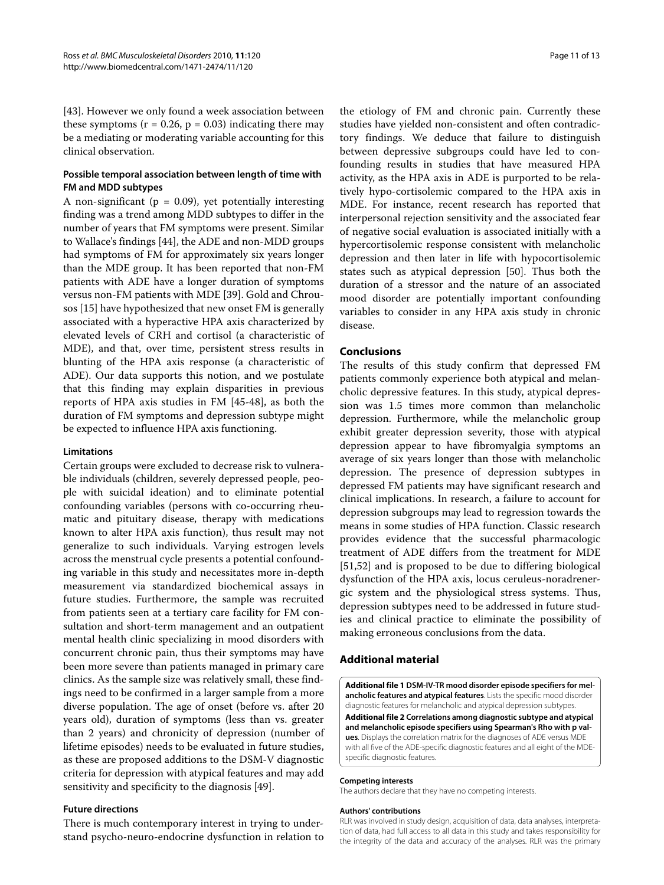[[43\]](#page-12-8). However we only found a week association between these symptoms ( $r = 0.26$ ,  $p = 0.03$ ) indicating there may be a mediating or moderating variable accounting for this clinical observation.

#### **Possible temporal association between length of time with FM and MDD subtypes**

A non-significant ( $p = 0.09$ ), yet potentially interesting finding was a trend among MDD subtypes to differ in the number of years that FM symptoms were present. Similar to Wallace's findings [\[44\]](#page-12-9), the ADE and non-MDD groups had symptoms of FM for approximately six years longer than the MDE group. It has been reported that non-FM patients with ADE have a longer duration of symptoms versus non-FM patients with MDE [\[39](#page-12-4)]. Gold and Chrousos [[15\]](#page-11-13) have hypothesized that new onset FM is generally associated with a hyperactive HPA axis characterized by elevated levels of CRH and cortisol (a characteristic of MDE), and that, over time, persistent stress results in blunting of the HPA axis response (a characteristic of ADE). Our data supports this notion, and we postulate that this finding may explain disparities in previous reports of HPA axis studies in FM [\[45](#page-12-10)-[48](#page-12-11)], as both the duration of FM symptoms and depression subtype might be expected to influence HPA axis functioning.

#### **Limitations**

Certain groups were excluded to decrease risk to vulnerable individuals (children, severely depressed people, people with suicidal ideation) and to eliminate potential confounding variables (persons with co-occurring rheumatic and pituitary disease, therapy with medications known to alter HPA axis function), thus result may not generalize to such individuals. Varying estrogen levels across the menstrual cycle presents a potential confounding variable in this study and necessitates more in-depth measurement via standardized biochemical assays in future studies. Furthermore, the sample was recruited from patients seen at a tertiary care facility for FM consultation and short-term management and an outpatient mental health clinic specializing in mood disorders with concurrent chronic pain, thus their symptoms may have been more severe than patients managed in primary care clinics. As the sample size was relatively small, these findings need to be confirmed in a larger sample from a more diverse population. The age of onset (before vs. after 20 years old), duration of symptoms (less than vs. greater than 2 years) and chronicity of depression (number of lifetime episodes) needs to be evaluated in future studies, as these are proposed additions to the DSM-V diagnostic criteria for depression with atypical features and may add sensitivity and specificity to the diagnosis [[49\]](#page-12-12).

#### **Future directions**

There is much contemporary interest in trying to understand psycho-neuro-endocrine dysfunction in relation to

the etiology of FM and chronic pain. Currently these studies have yielded non-consistent and often contradictory findings. We deduce that failure to distinguish between depressive subgroups could have led to confounding results in studies that have measured HPA activity, as the HPA axis in ADE is purported to be relatively hypo-cortisolemic compared to the HPA axis in MDE. For instance, recent research has reported that interpersonal rejection sensitivity and the associated fear of negative social evaluation is associated initially with a hypercortisolemic response consistent with melancholic depression and then later in life with hypocortisolemic states such as atypical depression [[50\]](#page-12-13). Thus both the duration of a stressor and the nature of an associated mood disorder are potentially important confounding variables to consider in any HPA axis study in chronic disease.

#### **Conclusions**

The results of this study confirm that depressed FM patients commonly experience both atypical and melancholic depressive features. In this study, atypical depression was 1.5 times more common than melancholic depression. Furthermore, while the melancholic group exhibit greater depression severity, those with atypical depression appear to have fibromyalgia symptoms an average of six years longer than those with melancholic depression. The presence of depression subtypes in depressed FM patients may have significant research and clinical implications. In research, a failure to account for depression subgroups may lead to regression towards the means in some studies of HPA function. Classic research provides evidence that the successful pharmacologic treatment of ADE differs from the treatment for MDE [[51,](#page-12-14)[52\]](#page-12-15) and is proposed to be due to differing biological dysfunction of the HPA axis, locus ceruleus-noradrenergic system and the physiological stress systems. Thus, depression subtypes need to be addressed in future studies and clinical practice to eliminate the possibility of making erroneous conclusions from the data.

#### **Additional material**

<span id="page-10-0"></span>**[Additional file 1](http://www.biomedcentral.com/content/supplementary/1471-2474-11-120-S1.PDF) DSM-IV-TR mood disorder episode specifiers for melancholic features and atypical features**. Lists the specific mood disorder diagnostic features for melancholic and atypical depression subtypes. **[Additional file 2](http://www.biomedcentral.com/content/supplementary/1471-2474-11-120-S2.PDF) Correlations among diagnostic subtype and atypical** 

<span id="page-10-1"></span>**and melancholic episode specifiers using Spearman's Rho with p values**. Displays the correlation matrix for the diagnoses of ADE versus MDE with all five of the ADE-specific diagnostic features and all eight of the MDEspecific diagnostic features.

#### **Competing interests**

The authors declare that they have no competing interests.

#### **Authors' contributions**

RLR was involved in study design, acquisition of data, data analyses, interpretation of data, had full access to all data in this study and takes responsibility for the integrity of the data and accuracy of the analyses. RLR was the primary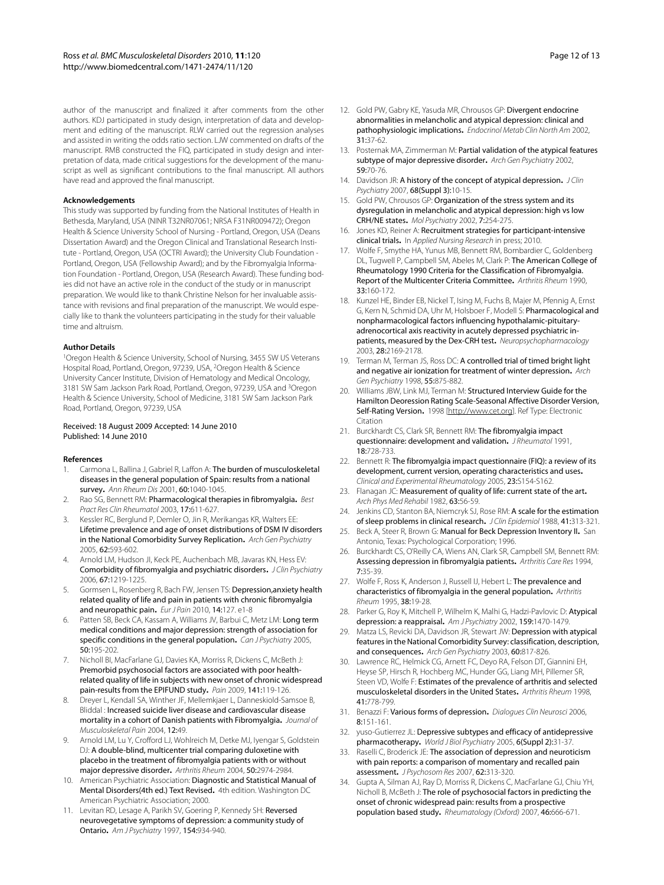author of the manuscript and finalized it after comments from the other authors. KDJ participated in study design, interpretation of data and development and editing of the manuscript. RLW carried out the regression analyses and assisted in writing the odds ratio section. LJW commented on drafts of the manuscript. RMB constructed the FIQ, participated in study design and interpretation of data, made critical suggestions for the development of the manuscript as well as significant contributions to the final manuscript. All authors have read and approved the final manuscript.

#### **Acknowledgements**

This study was supported by funding from the National Institutes of Health in Bethesda, Maryland, USA (NINR T32NR07061; NRSA F31NR009472); Oregon Health & Science University School of Nursing - Portland, Oregon, USA (Deans Dissertation Award) and the Oregon Clinical and Translational Research Institute - Portland, Oregon, USA (OCTRI Award); the University Club Foundation - Portland, Oregon, USA (Fellowship Award); and by the Fibromyalgia Information Foundation - Portland, Oregon, USA (Research Award). These funding bodies did not have an active role in the conduct of the study or in manuscript preparation. We would like to thank Christine Nelson for her invaluable assistance with revisions and final preparation of the manuscript. We would especially like to thank the volunteers participating in the study for their valuable time and altruism.

#### **Author Details**

1Oregon Health & Science University, School of Nursing, 3455 SW US Veterans Hospital Road, Portland, Oregon, 97239, USA, 2Oregon Health & Science University Cancer Institute, Division of Hematology and Medical Oncology, 3181 SW Sam Jackson Park Road, Portland, Oregon, 97239, USA and 3Oregon Health & Science University, School of Medicine, 3181 SW Sam Jackson Park Road, Portland, Oregon, 97239, USA

#### Received: 18 August 2009 Accepted: 14 June 2010 Published: 14 June 2010

#### **References**

- <span id="page-11-0"></span>1. Carmona L, Ballina J, Gabriel R, Laffon A: The burden of musculoskeletal diseases in the general population of Spain: results from a national survey**.** Ann Rheum Dis 2001, 60:1040-1045.
- <span id="page-11-1"></span>2. Rao SG, Bennett RM: Pharmacological therapies in fibromyalgia**.** Best Pract Res Clin Rheumatol 2003, 17:611-627.
- <span id="page-11-2"></span>3. Kessler RC, Berglund P, Demler O, Jin R, Merikangas KR, Walters EE: Lifetime prevalence and age of onset distributions of DSM IV disorders in the National Comorbidity Survey Replication**.** Arch Gen Psychiatry 2005, 62:593-602.
- <span id="page-11-3"></span>4. Arnold LM, Hudson JI, Keck PE, Auchenbach MB, Javaras KN, Hess EV: Comorbidity of fibromyalgia and psychiatric disorders**.** J Clin Psychiatry 2006, 67:1219-1225.
- <span id="page-11-4"></span>Gormsen L, Rosenberg R, Bach FW, Jensen TS: Depression,anxiety health related quality of life and pain in patients with chronic fibromyalgia and neuropathic pain**.** Eur J Pain 2010, 14:127. e1-8
- 6. Patten SB, Beck CA, Kassam A, Williams JV, Barbui C, Metz LM: Long term medical conditions and major depression: strength of association for specific conditions in the general population. Can J Psychiatry 2005, 50:195-202.
- <span id="page-11-5"></span>7. Nicholl BI, MacFarlane GJ, Davies KA, Morriss R, Dickens C, McBeth J: Premorbid psychosocial factors are associated with poor healthrelated quality of life in subjects with new onset of chronic widespread pain-results from the EPIFUND study**.** Pain 2009, 141:119-126.
- <span id="page-11-6"></span>8. Dreyer L, Kendall SA, Winther JF, Mellemkjaer L, Danneskiold-Samsoe B, Bliddal : Increased suicide liver disease and cardiovascular disease mortality in a cohort of Danish patients with Fibromyalgia**.** Journal of Musculoskeletal Pain 2004, 12:49.
- <span id="page-11-7"></span>Arnold LM, Lu Y, Crofford LJ, Wohlreich M, Detke MJ, Iyengar S, Goldstein DJ: A double-blind, multicenter trial comparing duloxetine with placebo in the treatment of fibromyalgia patients with or without major depressive disorder**.** Arthritis Rheum 2004, 50:2974-2984.
- <span id="page-11-8"></span>10. American Psychiatric Association: Diagnostic and Statistical Manual of Mental Disorders(4th ed.) Text Revised**.** 4th edition. Washington DC American Psychiatric Association; 2000.
- <span id="page-11-9"></span>11. Levitan RD, Lesage A, Parikh SV, Goering P, Kennedy SH: Reversed neurovegetative symptoms of depression: a community study of Ontario**[.](http://www.ncbi.nlm.nih.gov/entrez/query.fcgi?cmd=Retrieve&db=PubMed&dopt=Abstract&list_uids=9210743)** Am J Psychiatry 1997, 154:934-940.
- <span id="page-11-10"></span>12. Gold PW, Gabry KE, Yasuda MR, Chrousos GP: Divergent endocrine abnormalities in melancholic and atypical depression: clinical and pathophysiologic implications**.** Endocrinol Metab Clin North Am 2002, 31:37-62.
- <span id="page-11-11"></span>13. Posternak MA, Zimmerman M: Partial validation of the atypical features subtype of major depressive disorder**.** Arch Gen Psychiatry 2002, 59:70-76.
- <span id="page-11-12"></span>14. Davidson JR: A history of the concept of atypical depression. J Clin Psychiatry 2007, 68(Suppl 3):10-15.
- <span id="page-11-13"></span>15. Gold PW, Chrousos GP: Organization of the stress system and its dysregulation in melancholic and atypical depression: high vs low CRH/NE states**.** Mol Psychiatry 2002, 7:254-275.
- <span id="page-11-14"></span>16. Jones KD, Reiner A: Recruitment strategies for participant-intensive clinical trials**.** In Applied Nursing Research in press; 2010.
- <span id="page-11-15"></span>17. Wolfe F, Smythe HA, Yunus MB, Bennett RM, Bombardier C, Goldenberg DL, Tugwell P, Campbell SM, Abeles M, Clark P: The American College of Rheumatology 1990 Criteria for the Classification of Fibromyalgia. Report of the Multicenter Criteria Committee**.** Arthritis Rheum 1990, 33:160-172.
- <span id="page-11-16"></span>18. Kunzel HE, Binder EB, Nickel T, Ising M, Fuchs B, Majer M, Pfennig A, Ernst G, Kern N, Schmid DA, Uhr M, Holsboer F, Modell S: Pharmacological and nonpharmacological factors influencing hypothalamic-pituitaryadrenocortical axis reactivity in acutely depressed psychiatric inpatients, measured by the Dex-CRH test**.** Neuropsychopharmacology 2003, 28:2169-2178.
- <span id="page-11-17"></span>19. Terman M, Terman JS, Ross DC: A controlled trial of timed bright light and negative air ionization for treatment of winter depression**.** Arch Gen Psychiatry 1998, 55:875-882.
- <span id="page-11-18"></span>20. Williams JBW, Link MJ, Terman M: Structured Interview Guide for the Hamilton Deoression Rating Scale-Seasonal Affective Disorder Version, Self-Rating Version**.** 1998 [<http://www.cet.org>]. Ref Type: Electronic Citation
- <span id="page-11-19"></span>21. Burckhardt CS, Clark SR, Bennett RM: The fibromyalgia impact questionnaire: development and validation**.** J Rheumatol 1991, 18:728-733.
- <span id="page-11-20"></span>22. Bennett R: The fibromyalgia impact questionnaire (FIQ): a review of its development, current version, operating characteristics and uses**.** Clinical and Experimental Rheumatology 2005, 23:S154-S162.
- <span id="page-11-21"></span>23. Flanagan JC: Measurement of quality of life: current state of the art**[.](http://www.ncbi.nlm.nih.gov/entrez/query.fcgi?cmd=Retrieve&db=PubMed&dopt=Abstract&list_uids=6460487)** Arch Phys Med Rehabil 1982, 63:56-59.
- <span id="page-11-22"></span>24. Jenkins CD, Stanton BA, Niemcryk SJ, Rose RM: A scale for the estimation of sleep problems in clinical research**.** J Clin Epidemiol 1988, 41:313-321.
- <span id="page-11-23"></span>25. Beck A, Steer R, Brown G: Manual for Beck Depression Inventory II**.** San Antonio, Texas: Psychological Corporation; 1996.
- <span id="page-11-24"></span>26. Burckhardt CS, O'Reilly CA, Wiens AN, Clark SR, Campbell SM, Bennett RM: Assessing depression in fibromyalgia patients**.** Arthritis Care Res 1994, 7:35-39.
- <span id="page-11-25"></span>27. Wolfe F, Ross K, Anderson J, Russell IJ, Hebert L: The prevalence and characteristics of fibromyalgia in the general population**.** Arthritis Rheum 1995, 38:19-28.
- <span id="page-11-26"></span>28. Parker G, Roy K, Mitchell P, Wilhelm K, Malhi G, Hadzi-Paylovic D; Atypical depression: a reappraisal**.** Am J Psychiatry 2002, 159:1470-1479.
- <span id="page-11-27"></span>29. Matza LS, Revicki DA, Davidson JR, Stewart JW: Depression with atypical features in the National Comorbidity Survey: classification, description, and consequences**.** Arch Gen Psychiatry 2003, 60:817-826.
- <span id="page-11-28"></span>30. Lawrence RC, Helmick CG, Arnett FC, Deyo RA, Felson DT, Giannini EH, Heyse SP, Hirsch R, Hochberg MC, Hunder GG, Liang MH, Pillemer SR, Steen VD, Wolfe F: Estimates of the prevalence of arthritis and selected musculoskeletal disorders in the United States**.** Arthritis Rheum 1998, 41:778-799.
- <span id="page-11-29"></span>31. Benazzi F: Various forms of depression**[.](http://www.ncbi.nlm.nih.gov/entrez/query.fcgi?cmd=Retrieve&db=PubMed&dopt=Abstract&list_uids=16889102)** Dialogues Clin Neurosci 2006, 8:151-161.
- <span id="page-11-30"></span>32. yuso-Gutierrez JL: Depressive subtypes and efficacy of antidepressive pharmacotherapy. World J Biol Psychiatry 2005, 6(Suppl 2):31-37.
- <span id="page-11-31"></span>33. Raselli C, Broderick JE: The association of depression and neuroticism with pain reports: a comparison of momentary and recalled pain assessment**.** J Psychosom Res 2007, 62:313-320.
- <span id="page-11-32"></span>34. Gupta A, Silman AJ, Ray D, Morriss R, Dickens C, MacFarlane GJ, Chiu YH, Nicholl B, McBeth J: The role of psychosocial factors in predicting the onset of chronic widespread pain: results from a prospective population based study. Rheumatology (Oxford) 2007, 46:666-671.